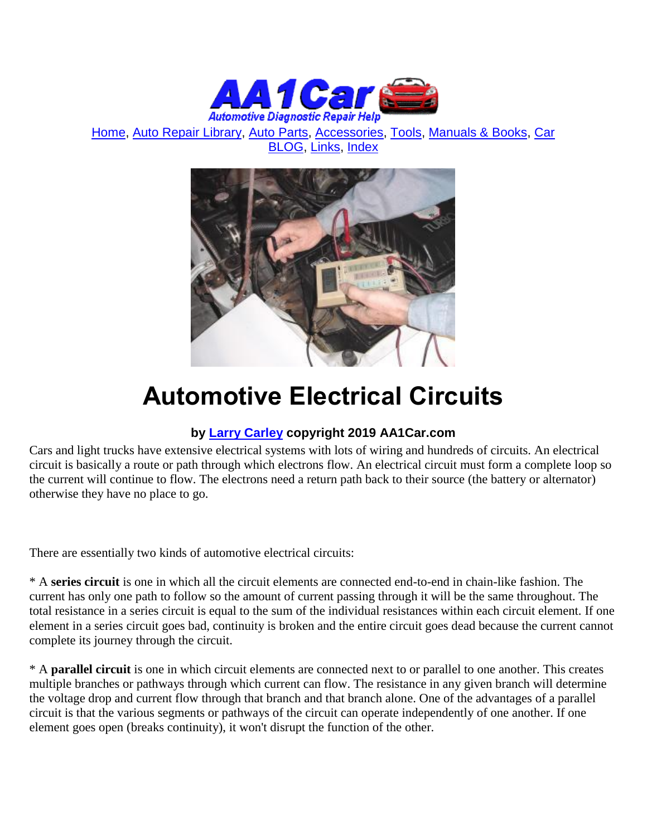

[Home,](http://www.aa1car.com/) [Auto Repair Library,](http://www.aa1car.com/library.htm) [Auto Parts,](http://www.aa1car.com/links_parts.htm) [Accessories,](http://www.aa1car.com/links_accessories.htm) [Tools,](http://www.aa1car.com/links_tools.htm) [Manuals & Books,](http://www.aa1car.com/links_books.htm) [Car](http://www.aa1car.com/blog/blog.htm)  [BLOG,](http://www.aa1car.com/blog/blog.htm) [Links,](http://www.aa1car.com/links.htm) [Index](http://www.aa1car.com/index_alphabetical.htm)



# **Automotive Electrical Circuits**

# **by [Larry Carley](https://www.aa1car.com/larrypage/larrycarley_photos.htm) copyright 2019 AA1Car.com**

Cars and light trucks have extensive electrical systems with lots of wiring and hundreds of circuits. An electrical circuit is basically a route or path through which electrons flow. An electrical circuit must form a complete loop so the current will continue to flow. The electrons need a return path back to their source (the battery or alternator) otherwise they have no place to go.

There are essentially two kinds of automotive electrical circuits:

\* A **series circuit** is one in which all the circuit elements are connected end-to-end in chain-like fashion. The current has only one path to follow so the amount of current passing through it will be the same throughout. The total resistance in a series circuit is equal to the sum of the individual resistances within each circuit element. If one element in a series circuit goes bad, continuity is broken and the entire circuit goes dead because the current cannot complete its journey through the circuit.

\* A **parallel circuit** is one in which circuit elements are connected next to or parallel to one another. This creates multiple branches or pathways through which current can flow. The resistance in any given branch will determine the voltage drop and current flow through that branch and that branch alone. One of the advantages of a parallel circuit is that the various segments or pathways of the circuit can operate independently of one another. If one element goes open (breaks continuity), it won't disrupt the function of the other.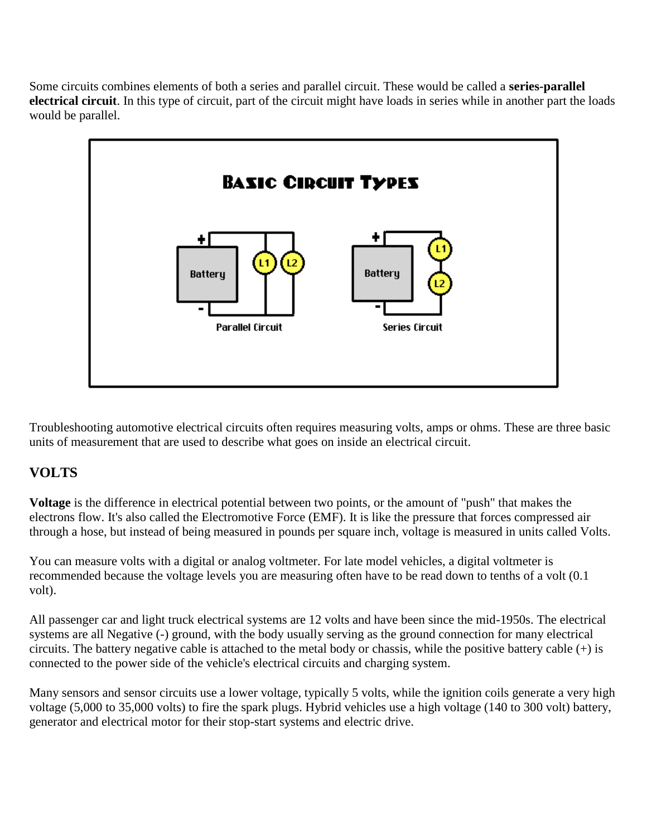Some circuits combines elements of both a series and parallel circuit. These would be called a **series-parallel electrical circuit**. In this type of circuit, part of the circuit might have loads in series while in another part the loads would be parallel.



Troubleshooting automotive electrical circuits often requires measuring volts, amps or ohms. These are three basic units of measurement that are used to describe what goes on inside an electrical circuit.

# **VOLTS**

**Voltage** is the difference in electrical potential between two points, or the amount of "push" that makes the electrons flow. It's also called the Electromotive Force (EMF). It is like the pressure that forces compressed air through a hose, but instead of being measured in pounds per square inch, voltage is measured in units called Volts.

You can measure volts with a digital or analog voltmeter. For late model vehicles, a digital voltmeter is recommended because the voltage levels you are measuring often have to be read down to tenths of a volt (0.1 volt).

All passenger car and light truck electrical systems are 12 volts and have been since the mid-1950s. The electrical systems are all Negative (-) ground, with the body usually serving as the ground connection for many electrical circuits. The battery negative cable is attached to the metal body or chassis, while the positive battery cable (+) is connected to the power side of the vehicle's electrical circuits and charging system.

Many sensors and sensor circuits use a lower voltage, typically 5 volts, while the ignition coils generate a very high voltage (5,000 to 35,000 volts) to fire the spark plugs. Hybrid vehicles use a high voltage (140 to 300 volt) battery, generator and electrical motor for their stop-start systems and electric drive.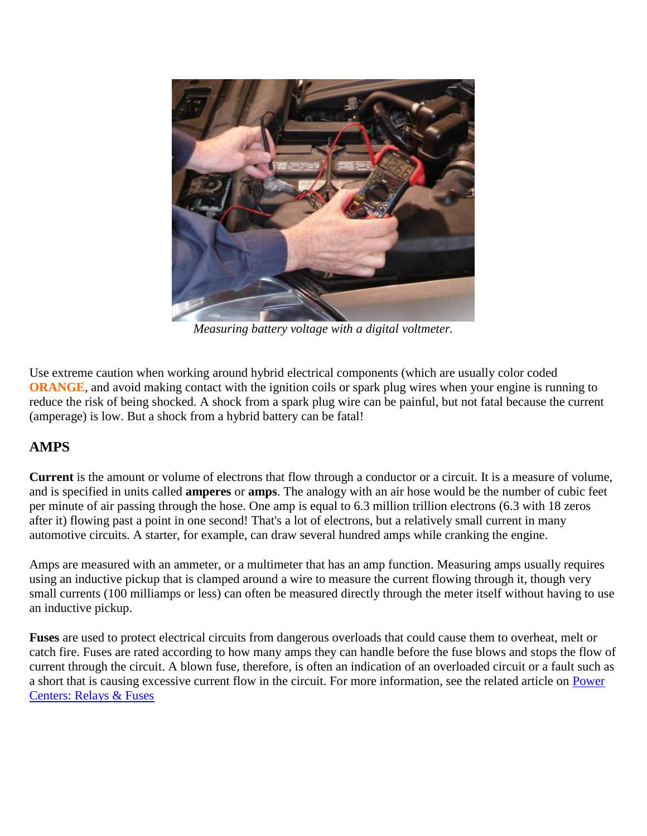

*Measuring battery voltage with a digital voltmeter.*

Use extreme caution when working around hybrid electrical components (which are usually color coded **ORANGE**, and avoid making contact with the ignition coils or spark plug wires when your engine is running to reduce the risk of being shocked. A shock from a spark plug wire can be painful, but not fatal because the current (amperage) is low. But a shock from a hybrid battery can be fatal!

# **AMPS**

**Current** is the amount or volume of electrons that flow through a conductor or a circuit. It is a measure of volume, and is specified in units called **amperes** or **amps**. The analogy with an air hose would be the number of cubic feet per minute of air passing through the hose. One amp is equal to 6.3 million trillion electrons (6.3 with 18 zeros after it) flowing past a point in one second! That's a lot of electrons, but a relatively small current in many automotive circuits. A starter, for example, can draw several hundred amps while cranking the engine.

Amps are measured with an ammeter, or a multimeter that has an amp function. Measuring amps usually requires using an inductive pickup that is clamped around a wire to measure the current flowing through it, though very small currents (100 milliamps or less) can often be measured directly through the meter itself without having to use an inductive pickup.

**Fuses** are used to protect electrical circuits from dangerous overloads that could cause them to overheat, melt or catch fire. Fuses are rated according to how many amps they can handle before the fuse blows and stops the flow of current through the circuit. A blown fuse, therefore, is often an indication of an overloaded circuit or a fault such as a short that is causing excessive current flow in the circuit. For more information, see the related article on [Power](http://www.aa1car.com/library/power_centers.htm)  [Centers: Relays & Fuses](http://www.aa1car.com/library/power_centers.htm)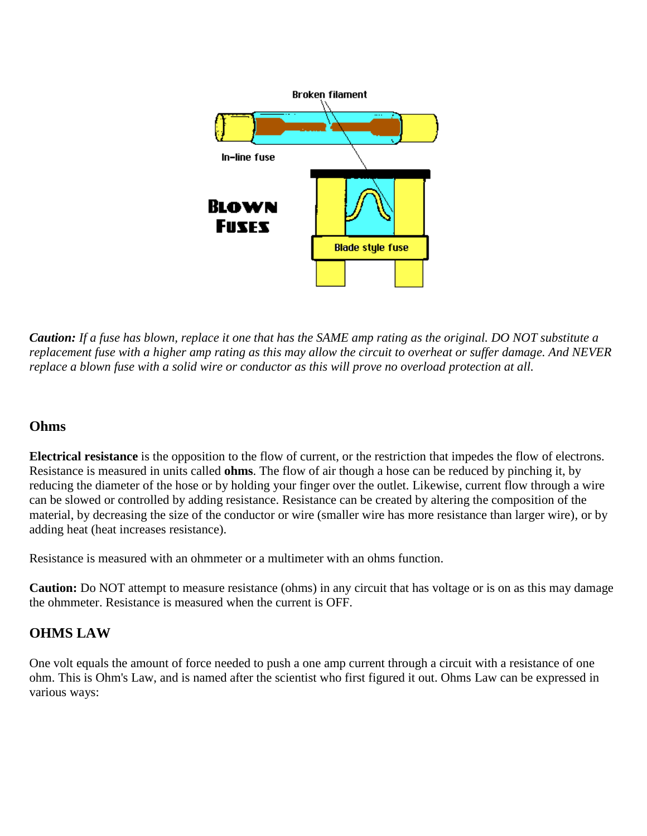

*Caution: If a fuse has blown, replace it one that has the SAME amp rating as the original. DO NOT substitute a replacement fuse with a higher amp rating as this may allow the circuit to overheat or suffer damage. And NEVER replace a blown fuse with a solid wire or conductor as this will prove no overload protection at all.*

# **Ohms**

**Electrical resistance** is the opposition to the flow of current, or the restriction that impedes the flow of electrons. Resistance is measured in units called **ohms**. The flow of air though a hose can be reduced by pinching it, by reducing the diameter of the hose or by holding your finger over the outlet. Likewise, current flow through a wire can be slowed or controlled by adding resistance. Resistance can be created by altering the composition of the material, by decreasing the size of the conductor or wire (smaller wire has more resistance than larger wire), or by adding heat (heat increases resistance).

Resistance is measured with an ohmmeter or a multimeter with an ohms function.

**Caution:** Do NOT attempt to measure resistance (ohms) in any circuit that has voltage or is on as this may damage the ohmmeter. Resistance is measured when the current is OFF.

# **OHMS LAW**

One volt equals the amount of force needed to push a one amp current through a circuit with a resistance of one ohm. This is Ohm's Law, and is named after the scientist who first figured it out. Ohms Law can be expressed in various ways: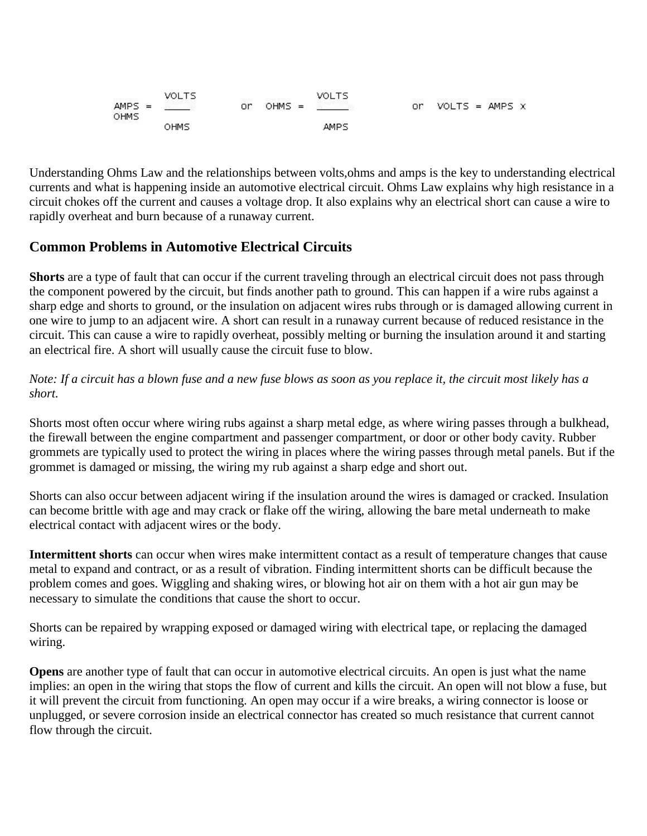Understanding Ohms Law and the relationships between volts,ohms and amps is the key to understanding electrical currents and what is happening inside an automotive electrical circuit. Ohms Law explains why high resistance in a circuit chokes off the current and causes a voltage drop. It also explains why an electrical short can cause a wire to rapidly overheat and burn because of a runaway current.

# **Common Problems in Automotive Electrical Circuits**

**Shorts** are a type of fault that can occur if the current traveling through an electrical circuit does not pass through the component powered by the circuit, but finds another path to ground. This can happen if a wire rubs against a sharp edge and shorts to ground, or the insulation on adjacent wires rubs through or is damaged allowing current in one wire to jump to an adjacent wire. A short can result in a runaway current because of reduced resistance in the circuit. This can cause a wire to rapidly overheat, possibly melting or burning the insulation around it and starting an electrical fire. A short will usually cause the circuit fuse to blow.

#### *Note: If a circuit has a blown fuse and a new fuse blows as soon as you replace it, the circuit most likely has a short.*

Shorts most often occur where wiring rubs against a sharp metal edge, as where wiring passes through a bulkhead, the firewall between the engine compartment and passenger compartment, or door or other body cavity. Rubber grommets are typically used to protect the wiring in places where the wiring passes through metal panels. But if the grommet is damaged or missing, the wiring my rub against a sharp edge and short out.

Shorts can also occur between adjacent wiring if the insulation around the wires is damaged or cracked. Insulation can become brittle with age and may crack or flake off the wiring, allowing the bare metal underneath to make electrical contact with adjacent wires or the body.

**Intermittent shorts** can occur when wires make intermittent contact as a result of temperature changes that cause metal to expand and contract, or as a result of vibration. Finding intermittent shorts can be difficult because the problem comes and goes. Wiggling and shaking wires, or blowing hot air on them with a hot air gun may be necessary to simulate the conditions that cause the short to occur.

Shorts can be repaired by wrapping exposed or damaged wiring with electrical tape, or replacing the damaged wiring.

**Opens** are another type of fault that can occur in automotive electrical circuits. An open is just what the name implies: an open in the wiring that stops the flow of current and kills the circuit. An open will not blow a fuse, but it will prevent the circuit from functioning. An open may occur if a wire breaks, a wiring connector is loose or unplugged, or severe corrosion inside an electrical connector has created so much resistance that current cannot flow through the circuit.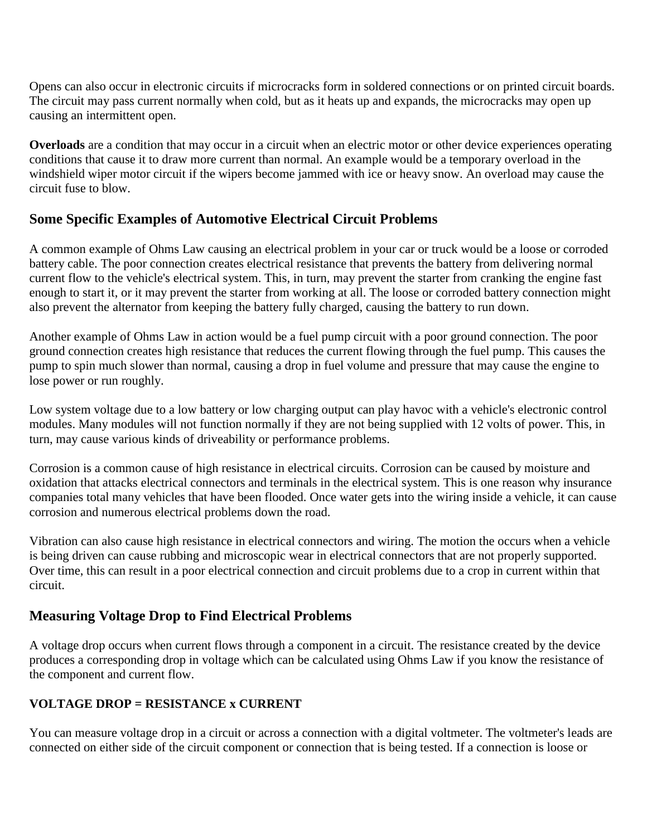Opens can also occur in electronic circuits if microcracks form in soldered connections or on printed circuit boards. The circuit may pass current normally when cold, but as it heats up and expands, the microcracks may open up causing an intermittent open.

**Overloads** are a condition that may occur in a circuit when an electric motor or other device experiences operating conditions that cause it to draw more current than normal. An example would be a temporary overload in the windshield wiper motor circuit if the wipers become jammed with ice or heavy snow. An overload may cause the circuit fuse to blow.

# **Some Specific Examples of Automotive Electrical Circuit Problems**

A common example of Ohms Law causing an electrical problem in your car or truck would be a loose or corroded battery cable. The poor connection creates electrical resistance that prevents the battery from delivering normal current flow to the vehicle's electrical system. This, in turn, may prevent the starter from cranking the engine fast enough to start it, or it may prevent the starter from working at all. The loose or corroded battery connection might also prevent the alternator from keeping the battery fully charged, causing the battery to run down.

Another example of Ohms Law in action would be a fuel pump circuit with a poor ground connection. The poor ground connection creates high resistance that reduces the current flowing through the fuel pump. This causes the pump to spin much slower than normal, causing a drop in fuel volume and pressure that may cause the engine to lose power or run roughly.

Low system voltage due to a low battery or low charging output can play havoc with a vehicle's electronic control modules. Many modules will not function normally if they are not being supplied with 12 volts of power. This, in turn, may cause various kinds of driveability or performance problems.

Corrosion is a common cause of high resistance in electrical circuits. Corrosion can be caused by moisture and oxidation that attacks electrical connectors and terminals in the electrical system. This is one reason why insurance companies total many vehicles that have been flooded. Once water gets into the wiring inside a vehicle, it can cause corrosion and numerous electrical problems down the road.

Vibration can also cause high resistance in electrical connectors and wiring. The motion the occurs when a vehicle is being driven can cause rubbing and microscopic wear in electrical connectors that are not properly supported. Over time, this can result in a poor electrical connection and circuit problems due to a crop in current within that circuit.

# **Measuring Voltage Drop to Find Electrical Problems**

A voltage drop occurs when current flows through a component in a circuit. The resistance created by the device produces a corresponding drop in voltage which can be calculated using Ohms Law if you know the resistance of the component and current flow.

### **VOLTAGE DROP = RESISTANCE x CURRENT**

You can measure voltage drop in a circuit or across a connection with a digital voltmeter. The voltmeter's leads are connected on either side of the circuit component or connection that is being tested. If a connection is loose or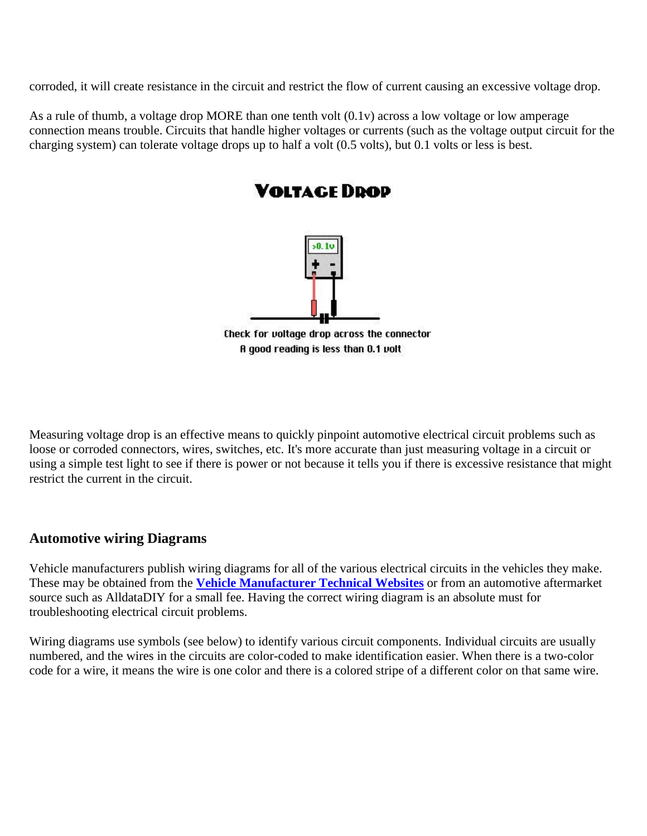corroded, it will create resistance in the circuit and restrict the flow of current causing an excessive voltage drop.

As a rule of thumb, a voltage drop MORE than one tenth volt (0.1v) across a low voltage or low amperage connection means trouble. Circuits that handle higher voltages or currents (such as the voltage output circuit for the charging system) can tolerate voltage drops up to half a volt (0.5 volts), but 0.1 volts or less is best.



Measuring voltage drop is an effective means to quickly pinpoint automotive electrical circuit problems such as loose or corroded connectors, wires, switches, etc. It's more accurate than just measuring voltage in a circuit or using a simple test light to see if there is power or not because it tells you if there is excessive resistance that might restrict the current in the circuit.

# **Automotive wiring Diagrams**

Vehicle manufacturers publish wiring diagrams for all of the various electrical circuits in the vehicles they make. These may be obtained from the **[Vehicle Manufacturer Technical Websites](http://www.aa1car.com/library/oemwebsites.htm)** or from an automotive aftermarket source such as AlldataDIY for a small fee. Having the correct wiring diagram is an absolute must for troubleshooting electrical circuit problems.

Wiring diagrams use symbols (see below) to identify various circuit components. Individual circuits are usually numbered, and the wires in the circuits are color-coded to make identification easier. When there is a two-color code for a wire, it means the wire is one color and there is a colored stripe of a different color on that same wire.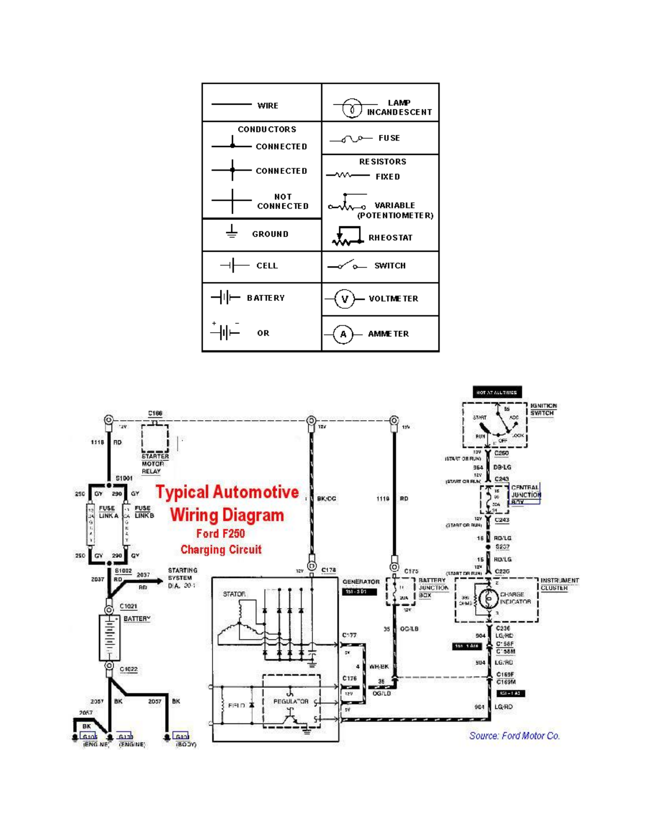